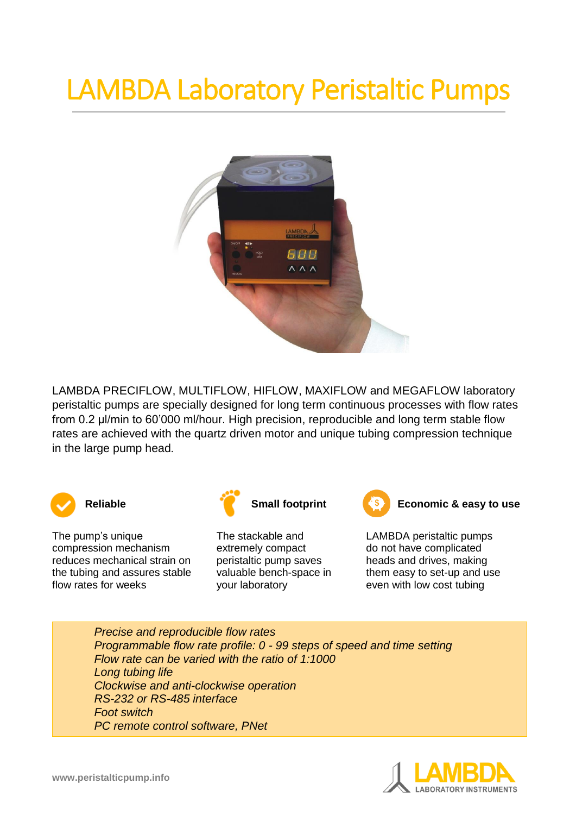## LAMBDA Laboratory Peristaltic Pumps



LAMBDA PRECIFLOW, MULTIFLOW, HIFLOW, MAXIFLOW and MEGAFLOW laboratory peristaltic pumps are specially designed for long term continuous processes with flow rates from 0.2 μl/min to 60'000 ml/hour. High precision, reproducible and long term stable flow rates are achieved with the quartz driven motor and unique tubing compression technique in the large pump head.



The pump's unique compression mechanism reduces mechanical strain on the tubing and assures stable flow rates for weeks



The stackable and extremely compact peristaltic pump saves valuable bench-space in your laboratory



**Reliable Reliable Small footprint Example 2 Economic & easy to use** 

LAMBDA peristaltic pumps do not have complicated heads and drives, making them easy to set-up and use even with low cost tubing

*Precise and reproducible flow rates Programmable flow rate profile: 0 - 99 steps of speed and time setting Flow rate can be varied with the ratio of 1:1000 Long tubing life Clockwise and anti-clockwise operation RS-232 or RS-485 interface Foot switch PC remote control software, PNet*